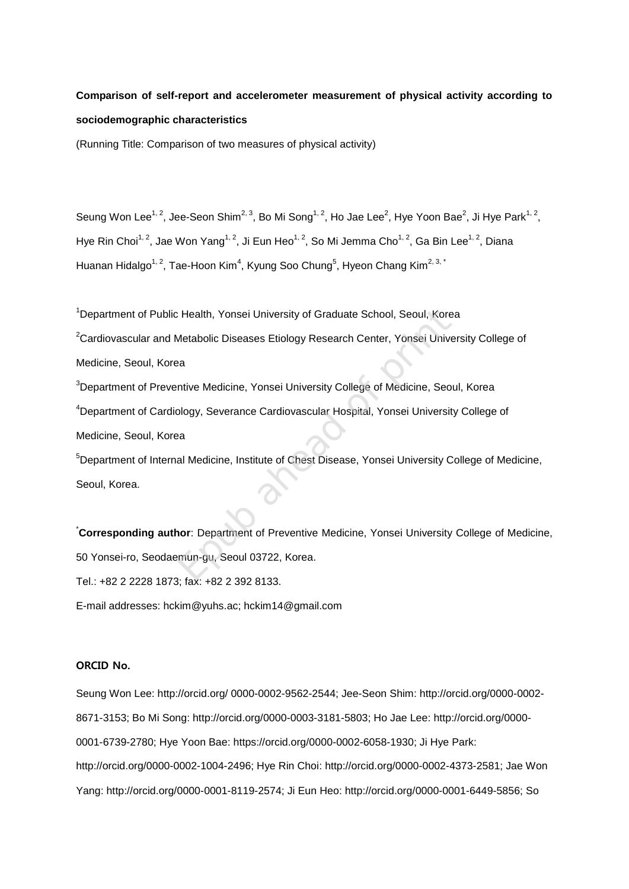# **Comparison of self-report and accelerometer measurement of physical activity according to sociodemographic characteristics**

(Running Title: Comparison of two measures of physical activity)

Seung Won Lee<sup>1, 2</sup>, Jee-Seon Shim<sup>2, 3</sup>, Bo Mi Song<sup>1, 2</sup>, Ho Jae Lee<sup>2</sup>, Hye Yoon Bae<sup>2</sup>, Ji Hye Park<sup>1, 2</sup>, Hye Rin Choi<sup>1, 2</sup>, Jae Won Yang<sup>1, 2</sup>, Ji Eun Heo<sup>1, 2</sup>, So Mi Jemma Cho<sup>1, 2</sup>, Ga Bin Lee<sup>1, 2</sup>, Diana Huanan Hidalgo<sup>1, 2</sup>, Tae-Hoon Kim<sup>4</sup>, Kyung Soo Chung<sup>5</sup>, Hyeon Chang Kim<sup>2, 3,\*</sup>

<sup>1</sup>Department of Public Health, Yonsei University of Graduate School, Seoul, Korea <sup>2</sup>Cardiovascular and Metabolic Diseases Etiology Research Center, Yonsei University College of Medicine, Seoul, Korea <sup>3</sup>Department of Preventive Medicine, Yonsei University College of Medicine, Seoul, Korea Realth, Yonsei University of Graduate School, Seoul, Kore<br>Metabolic Diseases Etiology Research Center, Yonsei University<br>Partive Medicine, Yonsei University College of Medicine, Seo<br>Dology, Severance Cardiovascular Hospita

<sup>4</sup>Department of Cardiology, Severance Cardiovascular Hospital, Yonsei University College of Medicine, Seoul, Korea

<sup>5</sup>Department of Internal Medicine, Institute of Chest Disease, Yonsei University College of Medicine, Seoul, Korea.

\***Corresponding author**: Department of Preventive Medicine, Yonsei University College of Medicine, 50 Yonsei-ro, Seodaemun-gu, Seoul 03722, Korea. Tel.: +82 2 2228 1873; fax: +82 2 392 8133. E-mail addresses: hckim@yuhs.ac; hckim14@gmail.com

# ORCID No.

Seung Won Lee: http://orcid.org/ 0000-0002-9562-2544; Jee-Seon Shim: http://orcid.org/0000-0002- 8671-3153; Bo Mi Song: http://orcid.org/0000-0003-3181-5803; Ho Jae Lee: http://orcid.org/0000- 0001-6739-2780; Hye Yoon Bae: https://orcid.org/0000-0002-6058-1930; Ji Hye Park: http://orcid.org/0000-0002-1004-2496; Hye Rin Choi: http://orcid.org/0000-0002-4373-2581; Jae Won Yang: http://orcid.org/0000-0001-8119-2574; Ji Eun Heo: http://orcid.org/0000-0001-6449-5856; So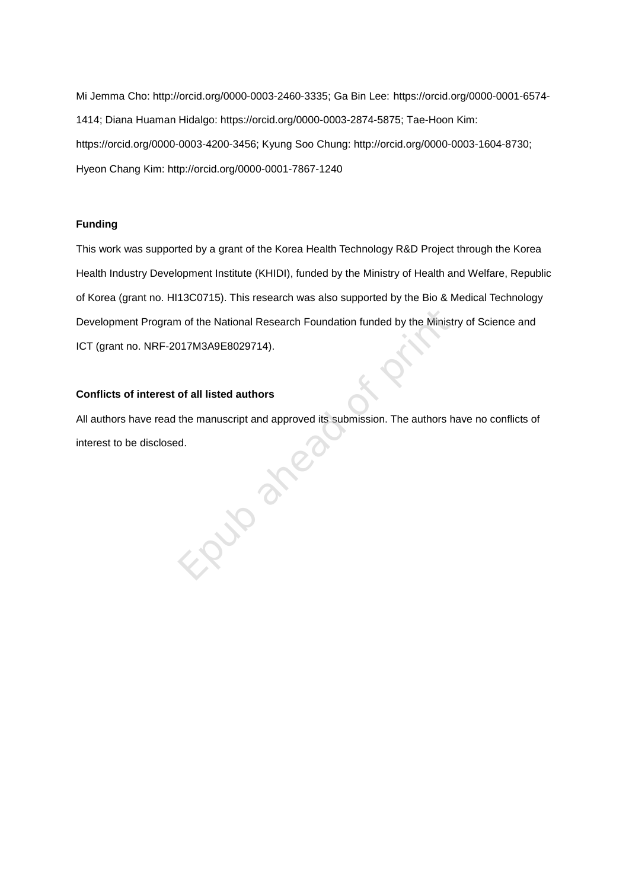Mi Jemma Cho: http://orcid.org/0000-0003-2460-3335; Ga Bin Lee: https://orcid.org/0000-0001-6574- 1414; Diana Huaman Hidalgo: https://orcid.org/0000-0003-2874-5875; Tae-Hoon Kim: https://orcid.org/0000-0003-4200-3456; Kyung Soo Chung: http://orcid.org/0000-0003-1604-8730; Hyeon Chang Kim: http://orcid.org/0000-0001-7867-1240

# **Funding**

This work was supported by a grant of the Korea Health Technology R&D Project through the Korea Health Industry Development Institute (KHIDI), funded by the Ministry of Health and Welfare, Republic of Korea (grant no. HI13C0715). This research was also supported by the Bio & Medical Technology Development Program of the National Research Foundation funded by the Ministry of Science and ICT (grant no. NRF-2017M3A9E8029714).

# **Conflicts of interest of all listed authors**

All authors have read the manuscript and approved its submission. The authors have no conflicts of interest to be disclosed. in a president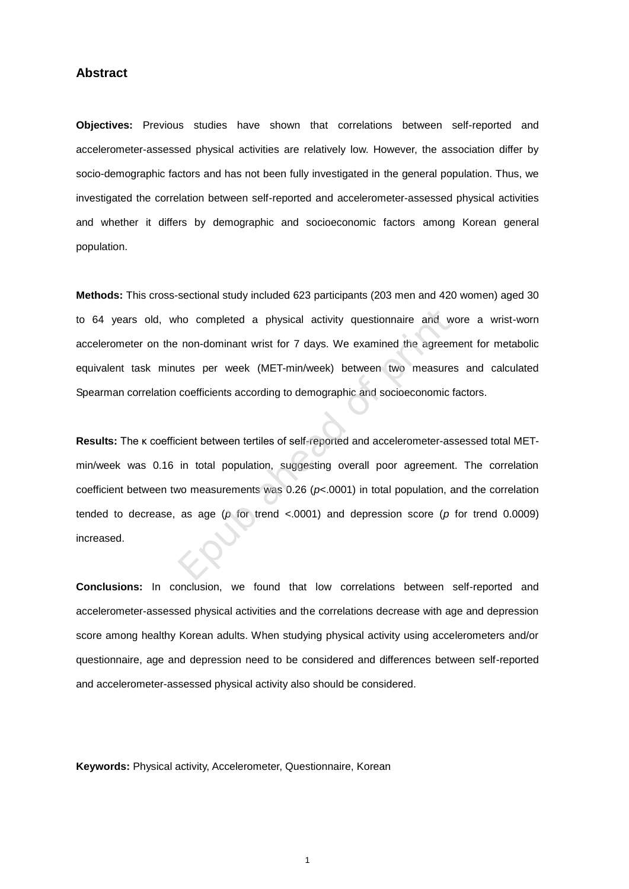## **Abstract**

**Objectives:** Previous studies have shown that correlations between self-reported and accelerometer-assessed physical activities are relatively low. However, the association differ by socio-demographic factors and has not been fully investigated in the general population. Thus, we investigated the correlation between self-reported and accelerometer-assessed physical activities and whether it differs by demographic and socioeconomic factors among Korean general population.

**Methods:** This cross-sectional study included 623 participants (203 men and 420 women) aged 30 to 64 years old, who completed a physical activity questionnaire and wore a wrist-worn accelerometer on the non-dominant wrist for 7 days. We examined the agreement for metabolic equivalent task minutes per week (MET-min/week) between two measures and calculated Spearman correlation coefficients according to demographic and socioeconomic factors.

**Results:** The κ coefficient between tertiles of self-reported and accelerometer-assessed total METmin/week was 0.16 in total population, suggesting overall poor agreement. The correlation coefficient between two measurements was 0.26 (*p*<.0001) in total population, and the correlation tended to decrease, as age (*p* for trend <.0001) and depression score (*p* for trend 0.0009) increased. ho completed a physical activity questionnaire and v<br>non-dominant wrist for 7 days. We examined the agreer<br>utes per week (MET-min/week) between two measure<br>coefficients according to demographic and socioeconomic<br>cient bet

**Conclusions:** In conclusion, we found that low correlations between self-reported and accelerometer-assessed physical activities and the correlations decrease with age and depression score among healthy Korean adults. When studying physical activity using accelerometers and/or questionnaire, age and depression need to be considered and differences between self-reported and accelerometer-assessed physical activity also should be considered.

**Keywords:** Physical activity, Accelerometer, Questionnaire, Korean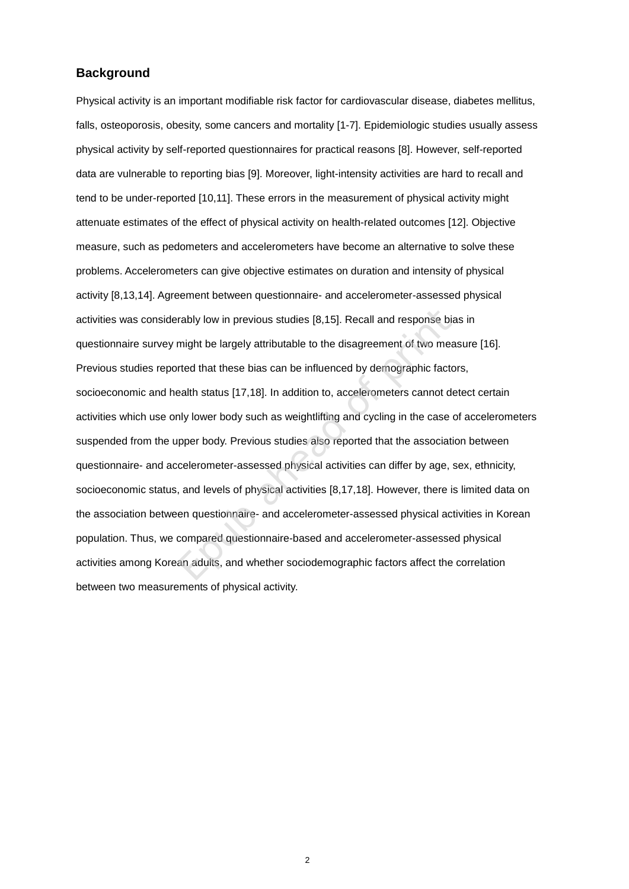# **Background**

Physical activity is an important modifiable risk factor for cardiovascular disease, diabetes mellitus, falls, osteoporosis, obesity, some cancers and mortality [\[1-7\]](#page--1-0). Epidemiologic studies usually assess physical activity by self-reported questionnaires for practical reasons [\[8\]](#page--1-1). However, self-reported data are vulnerable to reporting bias [\[9\]](#page--1-2). Moreover, light-intensity activities are hard to recall and tend to be under-reported [\[10,](#page--1-3)[11\].](#page--1-4) These errors in the measurement of physical activity might attenuate estimates of the effect of physical activity on health-related outcomes [\[12\]](#page--1-5). Objective measure, such as pedometers and accelerometers have become an alternative to solve these problems. Accelerometers can give objective estimates on duration and intensity of physical activity [\[8](#page--1-1)[,13,](#page--1-6)[14\]](#page--1-7). Agreement between questionnaire- and accelerometer-assessed physical activities was considerably low in previous studies [8,15]. Recall and response bias in questionnaire survey might be largely attributable to the disagreement of two measure [\[16\]](#page--1-9). Previous studies reported that these bias can be influenced by demographic factors, socioeconomic and health status [17,18]. In addition to, accelerometers cannot detect certain activities which use only lower body such as weightlifting and cycling in the case of accelerometers suspended from the upper body. Previous studies also reported that the association between questionnaire- and accelerometer-assessed physical activities can differ by age, sex, ethnicity, socioeconomic status, and levels of physical activities [8,17,18]. However, there is limited data on the association between questionnaire- and accelerometer-assessed physical activities in Korean population. Thus, we compared questionnaire-based and accelerometer-assessed physical activities among Korean adults, and whether sociodemographic factors affect the correlation between two measurements of physical activity .rably low in previous studies [8,15]. Recall and response biamight be largely attributable to the disagreement of two mea<br>tred that these bias can be influenced by demographic facto<br>ealth status [17,18]. In addition to, ac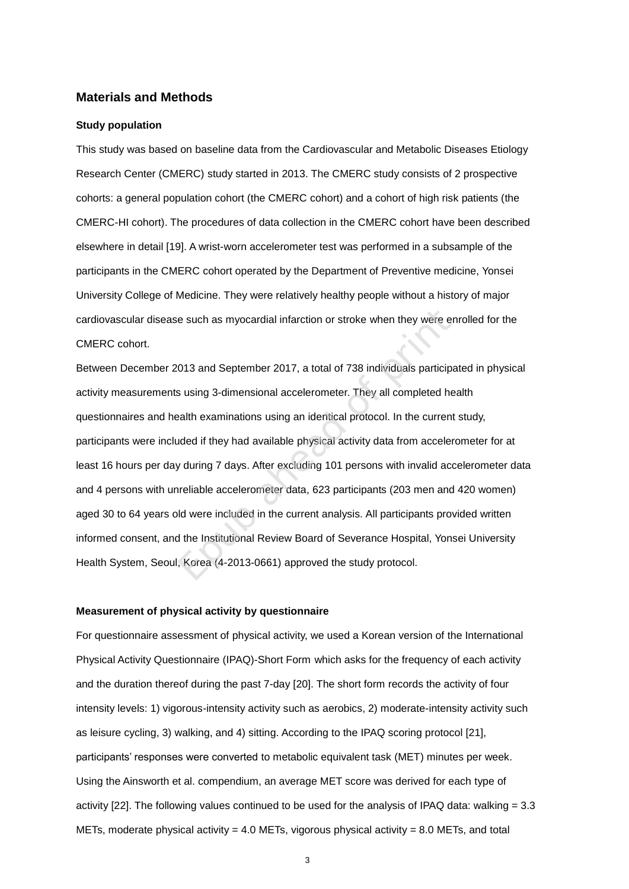# **Materials and Methods**

#### **Study population**

This study was based on baseline data from the Cardiovascular and Metabolic Diseases Etiology Research Center (CMERC) study started in 2013. The CMERC study consists of 2 prospective cohorts: a general population cohort (the CMERC cohort) and a cohort of high risk patients (the CMERC-HI cohort). The procedures of data collection in the CMERC cohort have been described elsewhere in detail [\[19\]](#page--1-12). A wrist-worn accelerometer test was performed in a subsample of the participants in the CMERC cohort operated by the Department of Preventive medicine, Yonsei University College of Medicine. They were relatively healthy people without a history of major cardiovascular disease such as myocardial infarction or stroke when they were enrolled for the CMERC cohort.

Between December 2013 and September 2017, a total of 738 individuals participated in physical activity measurements using 3-dimensional accelerometer. They all completed health questionnaires and health examinations using an identical protocol. In the current study, participants were included if they had available physical activity data from accelerometer for at least 16 hours per day during 7 days. After excluding 101 persons with invalid accelerometer data and 4 persons with unreliable accelerometer data, 623 participants (203 men and 420 women) aged 30 to 64 years old were included in the current analysis. All participants provided written informed consent, and the Institutional Review Board of Severance Hospital, Yonsei University Health System, Seoul, Korea (4-2013-0661) approved the study protocol. e such as myocardial infarction or stroke when they were e<br>
013 and September 2017, a total of 738 individuals particip<br>
s using 3-dimensional accelerometer. They all completed h<br>
bealth examinations using an identical pro

#### **Measurement of physical activity by questionnaire**

For questionnaire assessment of physical activity, we used a Korean version of the International Physical Activity Questionnaire (IPAQ)-Short Form which asks for the frequency of each activity and the duration thereof during the past 7-day [\[20\]](#page--1-13). The short form records the activity of four intensity levels: 1) vigorous-intensity activity such as aerobics, 2) moderate-intensity activity such as leisure cycling, 3) walking, and 4) sitting. According to the IPAQ scoring protocol [\[21\]](#page--1-14), participants' responses were converted to metabolic equivalent task (MET) minutes per week. Using the Ainsworth et al. compendium, an average MET score was derived for each type of activity [\[22\]](#page--1-4). The following values continued to be used for the analysis of IPAQ data: walking = 3.3 METs, moderate physical activity = 4.0 METs, vigorous physical activity = 8.0 METs, and total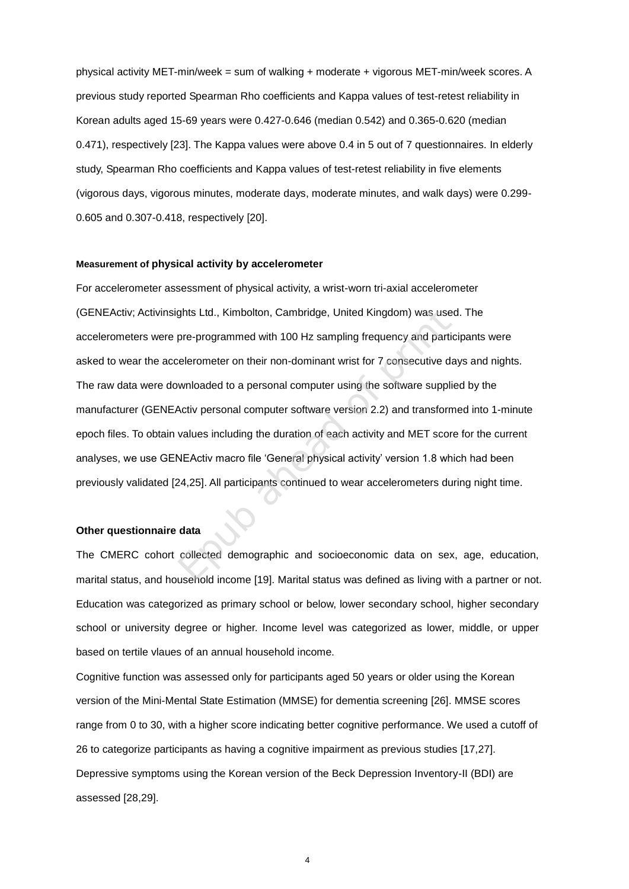physical activity MET-min/week = sum of walking + moderate + vigorous MET-min/week scores. A previous study reported Spearman Rho coefficients and Kappa values of test-retest reliability in Korean adults aged 15-69 years were 0.427-0.646 (median 0.542) and 0.365-0.620 (median 0.471), respectively [\[23\]](#page--1-5). The Kappa values were above 0.4 in 5 out of 7 questionnaires. In elderly study, Spearman Rho coefficients and Kappa values of test-retest reliability in five elements (vigorous days, vigorous minutes, moderate days, moderate minutes, and walk days) were 0.299- 0.605 and 0.307-0.418, respectively [\[20\]](#page--1-13).

#### **Measurement of physical activity by accelerometer**

For accelerometer assessment of physical activity, a wrist-worn tri-axial accelerometer (GENEActiv; Activinsights Ltd., Kimbolton, Cambridge, United Kingdom) was used. The accelerometers were pre-programmed with 100 Hz sampling frequency and participants were asked to wear the accelerometer on their non-dominant wrist for 7 consecutive days and nights. The raw data were downloaded to a personal computer using the software supplied by the manufacturer (GENEActiv personal computer software version 2.2) and transformed into 1-minute epoch files. To obtain values including the duration of each activity and MET score for the current analyses, we use GENEActiv macro file 'General physical activity' version 1.8 which had been previously validated [24,25]. All participants continued to wear accelerometers during night time. ghts Ltd., Kimbolton, Cambridge, United Kingdom) was use<br>pre-programmed with 100 Hz sampling frequency and particlerometer on their non-dominant wrist for 7 consecutive d<br>winloaded to a personal computer using the software

#### **Other questionnaire data**

The CMERC cohort collected demographic and socioeconomic data on sex, age, education, marital status, and household income [\[19\]](#page--1-12). Marital status was defined as living with a partner or not. Education was categorized as primary school or below, lower secondary school, higher secondary school or university degree or higher. Income level was categorized as lower, middle, or upper based on tertile vlaues of an annual household income.

Cognitive function was assessed only for participants aged 50 years or older using the Korean version of the Mini-Mental State Estimation (MMSE) for dementia screening [\[26\]](#page--1-8). MMSE scores range from 0 to 30, with a higher score indicating better cognitive performance. We used a cutoff of 26 to categorize participants as having a cognitive impairment as previous studies [\[17](#page--1-10)[,27\]](#page--1-15). Depressive symptoms using the Korean version of the Beck Depression Inventory-II (BDI) are assessed [\[28](#page--1-16)[,29\]](#page--1-17).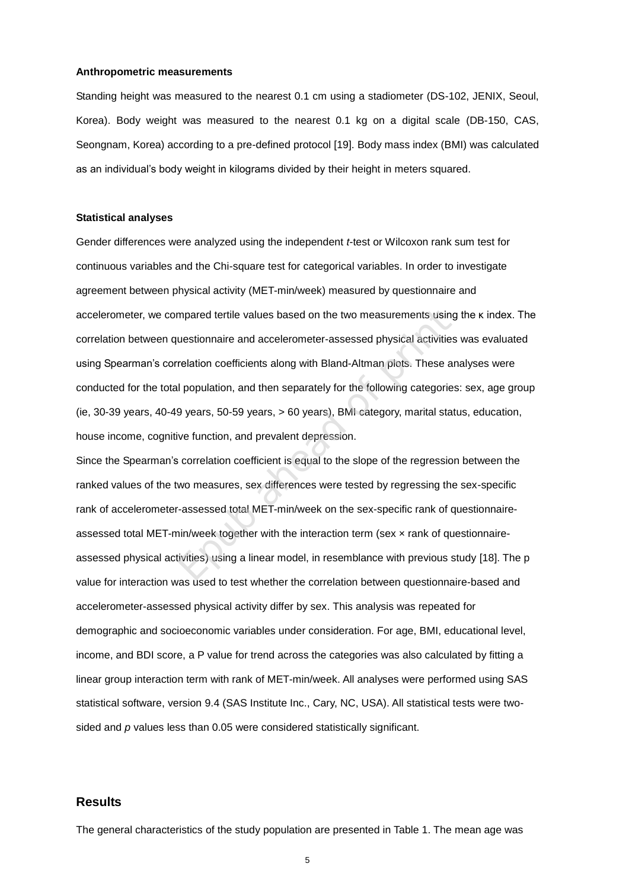#### **Anthropometric measurements**

Standing height was measured to the nearest 0.1 cm using a stadiometer (DS-102, JENIX, Seoul, Korea). Body weight was measured to the nearest 0.1 kg on a digital scale (DB-150, CAS, Seongnam, Korea) according to a pre-defined protocol [\[19\]](#page--1-12). Body mass index (BMI) was calculated as an individual's body weight in kilograms divided by their height in meters squared.

#### **Statistical analyses**

Gender differences were analyzed using the independent *t*-test or Wilcoxon rank sum test for continuous variables and the Chi-square test for categorical variables. In order to investigate agreement between physical activity (MET-min/week) measured by questionnaire and accelerometer, we compared tertile values based on the two measurements using the κ index. The correlation between questionnaire and accelerometer-assessed physical activities was evaluated using Spearman's correlation coefficients along with Bland-Altman plots. These analyses were conducted for the total population, and then separately for the following categories: sex, age group (ie, 30-39 years, 40-49 years, 50-59 years, > 60 years), BMI category, marital status, education, house income, cognitive function, and prevalent depression. mpared tertile values based on the two measurements usin<br>uestionnaire and accelerometer-assessed physical activitie<br>relation coefficients along with Bland-Altman plots. These a<br>il population, and then separately for the fo

Since the Spearman's correlation coefficient is equal to the slope of the regression between the ranked values of the two measures, sex differences were tested by regressing the sex-specific rank of accelerometer-assessed total MET-min/week on the sex-specific rank of questionnaireassessed total MET-min/week together with the interaction term (sex × rank of questionnaireassessed physical activities) using a linear model, in resemblance with previous study [\[18\]](#page--1-11). The p value for interaction was used to test whether the correlation between questionnaire-based and accelerometer-assessed physical activity differ by sex. This analysis was repeated for demographic and socioeconomic variables under consideration. For age, BMI, educational level, income, and BDI score, a P value for trend across the categories was also calculated by fitting a linear group interaction term with rank of MET-min/week. All analyses were performed using SAS statistical software, version 9.4 (SAS Institute Inc., Cary, NC, USA). All statistical tests were twosided and *p* values less than 0.05 were considered statistically significant.

## **Results**

The general characteristics of the study population are presented in Table 1. The mean age was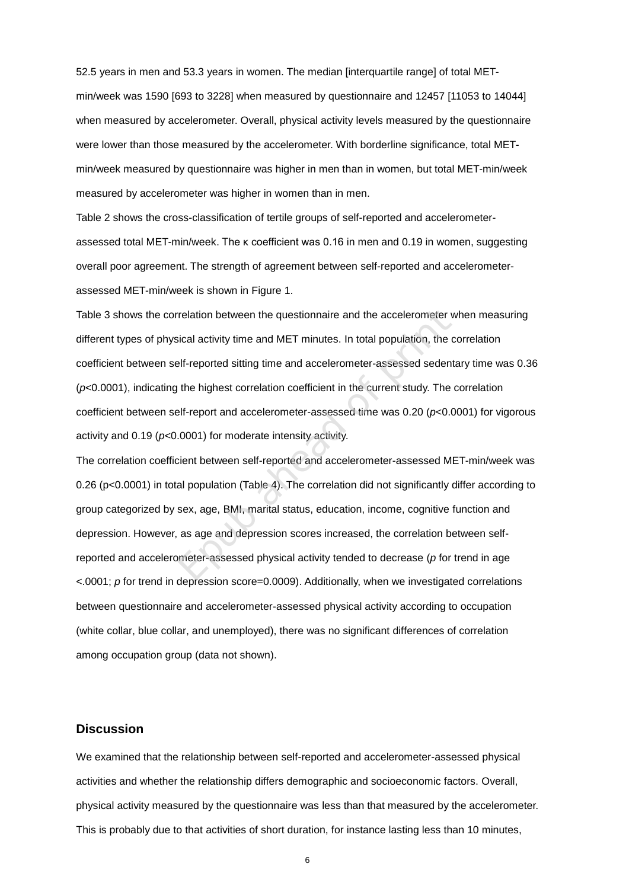52.5 years in men and 53.3 years in women. The median [interquartile range] of total METmin/week was 1590 [693 to 3228] when measured by questionnaire and 12457 [11053 to 14044] when measured by accelerometer. Overall, physical activity levels measured by the questionnaire were lower than those measured by the accelerometer. With borderline significance, total METmin/week measured by questionnaire was higher in men than in women, but total MET-min/week measured by accelerometer was higher in women than in men.

Table 2 shows the cross-classification of tertile groups of self-reported and accelerometerassessed total MET-min/week. The κ coefficient was 0.16 in men and 0.19 in women, suggesting overall poor agreement. The strength of agreement between self-reported and accelerometerassessed MET-min/week is shown in Figure 1.

Table 3 shows the correlation between the questionnaire and the accelerometer when measuring different types of physical activity time and MET minutes. In total population, the correlation coefficient between self-reported sitting time and accelerometer-assessed sedentary time was 0.36 (*p*<0.0001), indicating the highest correlation coefficient in the current study. The correlation coefficient between self-report and accelerometer-assessed time was 0.20 (*p*<0.0001) for vigorous activity and 0.19 (*p*<0.0001) for moderate intensity activity. relation between the questionnaire and the accelerometer<br>sical activity time and MET minutes. In total population, the<br>slf-reported sitting time and accelerometer-assessed seden<br>the highest correlation coefficient in the c

The correlation coefficient between self-reported and accelerometer-assessed MET-min/week was 0.26 (p<0.0001) in total population (Table 4). The correlation did not significantly differ according to group categorized by sex, age, BMI, marital status, education, income, cognitive function and depression. However, as age and depression scores increased, the correlation between selfreported and accelerometer-assessed physical activity tended to decrease (*p* for trend in age <.0001; *p* for trend in depression score=0.0009). Additionally, when we investigated correlations between questionnaire and accelerometer-assessed physical activity according to occupation (white collar, blue collar, and unemployed), there was no significant differences of correlation among occupation group (data not shown).

# **Discussion**

We examined that the relationship between self-reported and accelerometer-assessed physical activities and whether the relationship differs demographic and socioeconomic factors. Overall, physical activity measured by the questionnaire was less than that measured by the accelerometer. This is probably due to that activities of short duration, for instance lasting less than 10 minutes,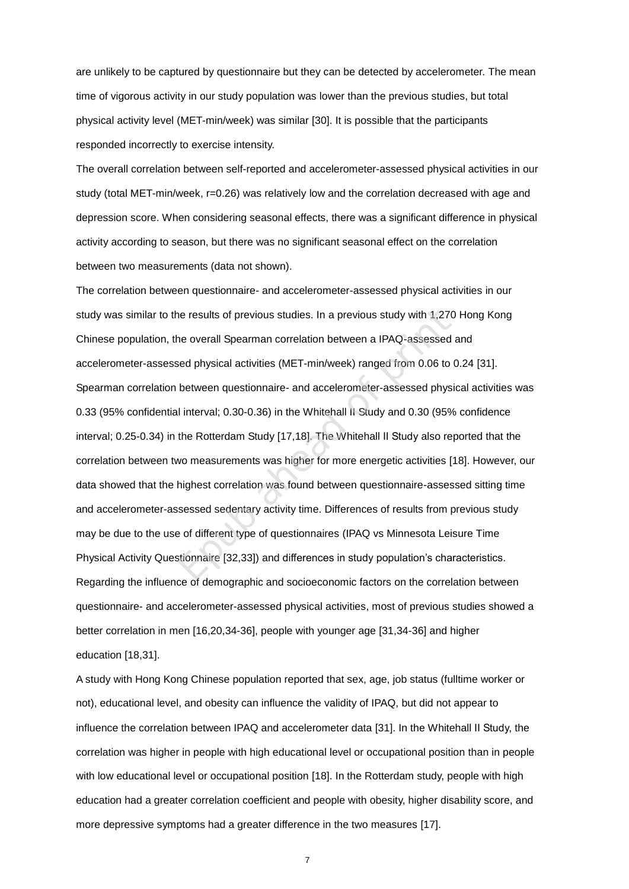are unlikely to be captured by questionnaire but they can be detected by accelerometer. The mean time of vigorous activity in our study population was lower than the previous studies, but total physical activity level (MET-min/week) was similar [\[30\].](#page--1-18) It is possible that the participants responded incorrectly to exercise intensity.

The overall correlation between self-reported and accelerometer-assessed physical activities in our study (total MET-min/week, r=0.26) was relatively low and the correlation decreased with age and depression score. When considering seasonal effects, there was a significant difference in physical activity according to season, but there was no significant seasonal effect on the correlation between two measurements (data not shown).

The correlation between questionnaire- and accelerometer-assessed physical activities in our study was similar to the results of previous studies. In a previous study with 1,270 Hong Kong Chinese population, the overall Spearman correlation between a IPAQ-assessed and accelerometer-assessed physical activities (MET-min/week) ranged from 0.06 to 0.24 [\[31\]](#page--1-19). Spearman correlation between questionnaire- and accelerometer-assessed physical activities was 0.33 (95% confidential interval; 0.30-0.36) in the Whitehall II Study and 0.30 (95% confidence interval; 0.25-0.34) in the Rotterdam Study [17,18]. The Whitehall II Study also reported that the correlation between two measurements was higher for more energetic activities [\[18\]](#page--1-11). However, our data showed that the highest correlation was found between questionnaire-assessed sitting time and accelerometer-assessed sedentary activity time. Differences of results from previous study may be due to the use of different type of questionnaires (IPAQ vs Minnesota Leisure Time Physical Activity Questionnaire [32,33]) and differences in study population's characteristics. Regarding the influence of demographic and socioeconomic factors on the correlation between questionnaire- and accelerometer-assessed physical activities, most of previous studies showed a better correlation in men [\[16,](#page--1-9)[20,](#page--1-13)[34-36\]](#page--1-22), people with younger age [\[31](#page--1-19)[,34-36\]](#page--1-22) and higher education [\[18,](#page--1-11)[31\]](#page--1-19). ne results of [p](#page--1-20)revious studies. In a previous study with 1,27<br>he overall Sp[ea](#page--1-11)rman correlation between a IPAQ-assessed<br>sed physical activities (MET-min/week) ranged from 0.06 to<br>between questionnaire- and accelerometer-asse

A study with Hong Kong Chinese population reported that sex, age, job status (fulltime worker or not), educational level, and obesity can influence the validity of IPAQ, but did not appear to influence the correlation between IPAQ and accelerometer data [\[31\]](#page--1-19). In the Whitehall ΙΙ Study, the correlation was higher in people with high educational level or occupational position than in people with low educational level or occupational position [\[18\]](#page--1-11). In the Rotterdam study, people with high education had a greater correlation coefficient and people with obesity, higher disability score, and more depressive symptoms had a greater difference in the two measures [\[17\]](#page--1-10).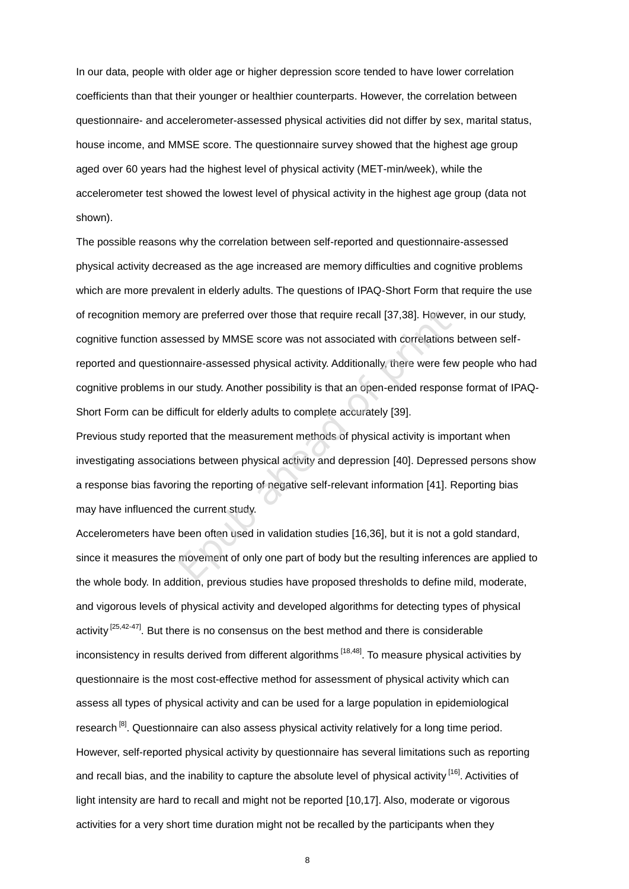In our data, people with older age or higher depression score tended to have lower correlation coefficients than that their younger or healthier counterparts. However, the correlation between questionnaire- and accelerometer-assessed physical activities did not differ by sex, marital status, house income, and MMSE score. The questionnaire survey showed that the highest age group aged over 60 years had the highest level of physical activity (MET-min/week), while the accelerometer test showed the lowest level of physical activity in the highest age group (data not shown).

The possible reasons why the correlation between self-reported and questionnaire-assessed physical activity decreased as the age increased are memory difficulties and cognitive problems which are more prevalent in elderly adults. The questions of IPAQ-Short Form that require the use of recognition memory are preferred over those that require recall [37,38]. However, in our study, cognitive function assessed by MMSE score was not associated with correlations between selfreported and questionnaire-assessed physical activity. Additionally, there were few people who had cognitive problems in our study. Another possibility is that an open-ended response format of IPAQ-Short Form can be difficult for elderly adults to complete accurately [39]. y are preferred over those that require recall [37,38]. Hower<br>essed by MMSE score was [n](#page--1-16)ot associated with correlations<br>maire-assessed physical activity. Additionally, there were fe<br>our study. Another possibility is that an

Previous study reported that the measurement methods of physical activity is important when investigating associations between physical activity and depression [40]. Depressed persons show a response bias favoring the reporting of negative self-relevant information [41]. Reporting bias may have influenced the current study.

Accelerometers have been often used in validation studies [16,36], but it is not a gold standard, since it measures the movement of only one part of body but the resulting inferences are applied to the whole body. In addition, previous studies have proposed thresholds to define mild, moderate, and vigorous levels of physical activity and developed algorithms for detecting types of physical activity <sup>[\[25,](#page--1-7)[42-47\]](#page--1-26)</sup>. But there is no consensus on the best method and there is considerable inconsistency in results derived from different algorithms <sup>[\[18,](#page--1-11)[48\]](#page--1-25)</sup>. To measure physical activities by questionnaire is the most cost-effective method for assessment of physical activity which can assess all types of physical activity and can be used for a large population in epidemiological research<sup>[\[8\]](#page--1-1)</sup>. Questionnaire can also assess physical activity relatively for a long time period. However, self-reported physical activity by questionnaire has several limitations such as reporting and recall bias, and the inability to capture the absolute level of physical activity <sup>[\[16\]](#page--1-9)</sup>. Activities of light intensity are hard to recall and might not be reported [\[10,](#page--1-3)[17\]](#page--1-10). Also, moderate or vigorous activities for a very short time duration might not be recalled by the participants when they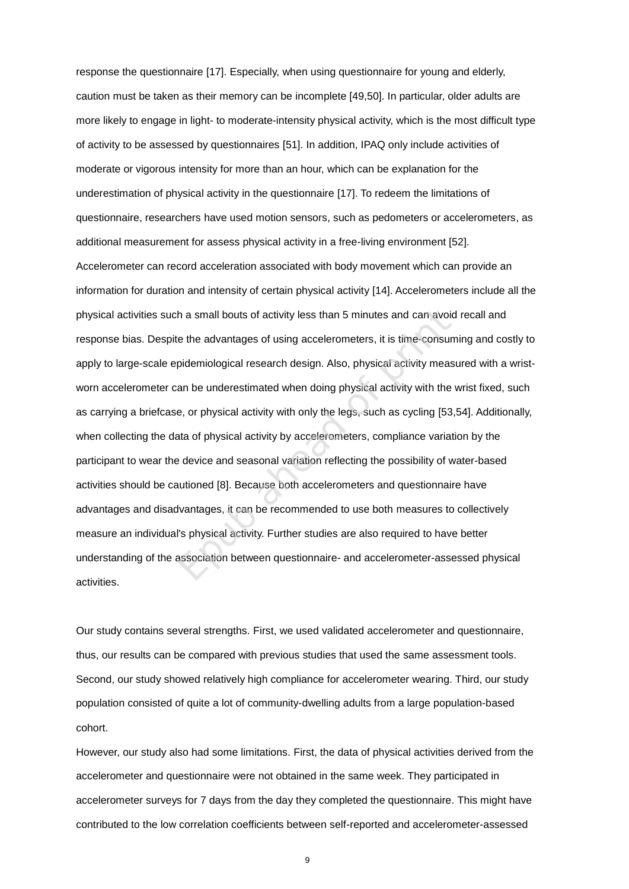response the questionnaire [\[17\].](#page--1-10) Especially, when using questionnaire for young and elderly, caution must be taken as their memory can be incomplete [\[49](#page--1-27)[,50\]](#page--1-28). In particular, older adults are more likely to engage in light- to moderate-intensity physical activity, which is the most difficult type of activity to be assessed by questionnaires [\[51\]](#page--1-29). In addition, IPAQ only include activities of moderate or vigorous intensity for more than an hour, which can be explanation for the underestimation of physical activity in the questionnaire [\[17\]](#page--1-10). To redeem the limitations of questionnaire, researchers have used motion sensors, such as pedometers or accelerometers, as additional measurement for assess physical activity in a free-living environment [\[52\]](#page--1-30). Accelerometer can record acceleration associated with body movement which can provide an information for duration and intensity of certain physical activity [\[14\]](#page--1-7). Accelerometers include all the physical activities such a small bouts of activity less than 5 minutes and can avoid recall and response bias. Despite the advantages of using accelerometers, it is time-consuming and costly to apply to large-scale epidemiological research design. Also, physical activity measured with a wristworn accelerometer can be underestimated when doing physical activity with the wrist fixed, such as carrying a briefcase, or physical activity with only the legs, such as cycling [53[,54\]](#page--1-32). Additionally, when collecting the data of physical activity by accelerometers, compliance variation by the participant to wear the device and seasonal variation reflecting the possibility of water-based activities should be cautioned [8]. Because both accelerometers and questionnaire have advantages and disadvantages, it can be recommended to use both measures to collectively measure an individual's physical activity. Further studies are also required to have better understanding of the association between questionnaire- and accelerometer-assessed physical activities. In a small bouts of activity less than 5 minutes and can avoie the advantages of using accelerometers, it is time-consurpidemiological research design. Also, physical activity measure an be underestimated when doing physic

Our study contains several strengths. First, we used validated accelerometer and questionnaire, thus, our results can be compared with previous studies that used the same assessment tools. Second, our study showed relatively high compliance for accelerometer wearing. Third, our study population consisted of quite a lot of community-dwelling adults from a large population-based cohort.

However, our study also had some limitations. First, the data of physical activities derived from the accelerometer and questionnaire were not obtained in the same week. They participated in accelerometer surveys for 7 days from the day they completed the questionnaire. This might have contributed to the low correlation coefficients between self-reported and accelerometer-assessed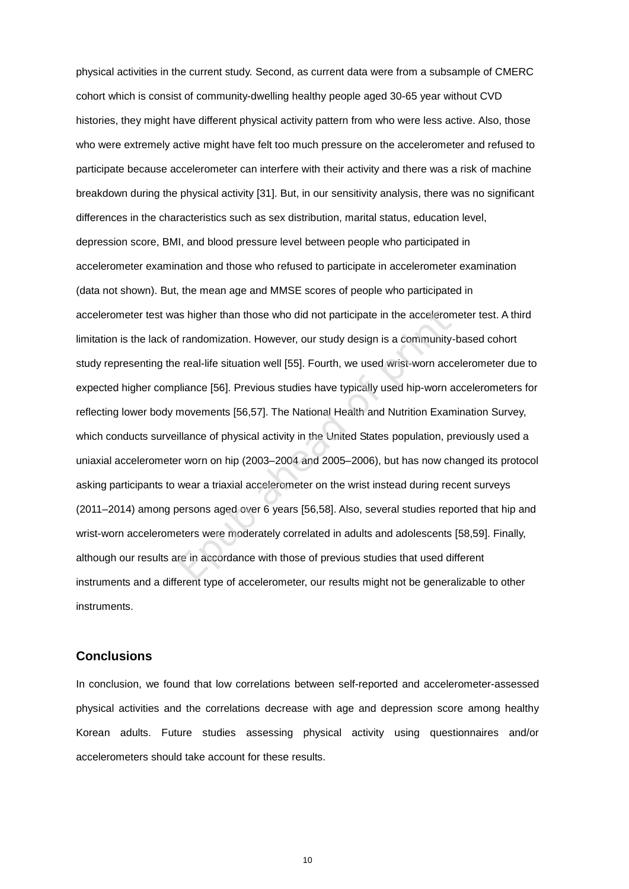physical activities in the current study. Second, as current data were from a subsample of CMERC cohort which is consist of community-dwelling healthy people aged 30-65 year without CVD histories, they might have different physical activity pattern from who were less active. Also, those who were extremely active might have felt too much pressure on the accelerometer and refused to participate because accelerometer can interfere with their activity and there was a risk of machine breakdown during the physical activity [\[31\]](#page--1-19). But, in our sensitivity analysis, there was no significant differences in the characteristics such as sex distribution, marital status, education level, depression score, BMI, and blood pressure level between people who participated in accelerometer examination and those who refused to participate in accelerometer examination (data not shown). But, the mean age and MMSE scores of people who participated in accelerometer test was higher than those who did not participate in the accelerometer test. A third limitation is the lack of randomization. However, our study design is a community-based cohort study representing the real-life situation well [55]. Fourth, we used wrist-worn accelerometer due to expected higher compliance [56]. Previous studies have typically used hip-worn accelerometers for reflecting lower body movements [56,57]. The National Health and Nutrition Examination Survey, which conducts surveillance of physical activity in the United States population, previously used a uniaxial accelerometer worn on hip (2003–2004 and 2005–2006), but has now changed its protocol asking participants to wear a triaxial accelerometer on the wrist instead during recent surveys (2011–2014) among persons aged over 6 years [56,58]. Also, several studies reported that hip and wrist-worn accelerometers were moderately correlated in adults and adolescents [\[58](#page--1-5)[,59\]](#page--1-35). Finally, although our results are in accordance with those of previous studies that used different instruments and a different type of accelerometer, our results might not be generalizable to other instruments. is higher than those who did not participate in the acceleror<br>
f randomization. However, our study design is a community<br>
e real-life situation well [55]. Fourth, we used wrist-worn acc<br>
bliance [56]. Previous studies have

# **Conclusions**

In conclusion, we found that low correlations between self-reported and accelerometer-assessed physical activities and the correlations decrease with age and depression score among healthy Korean adults. Future studies assessing physical activity using questionnaires and/or accelerometers should take account for these results.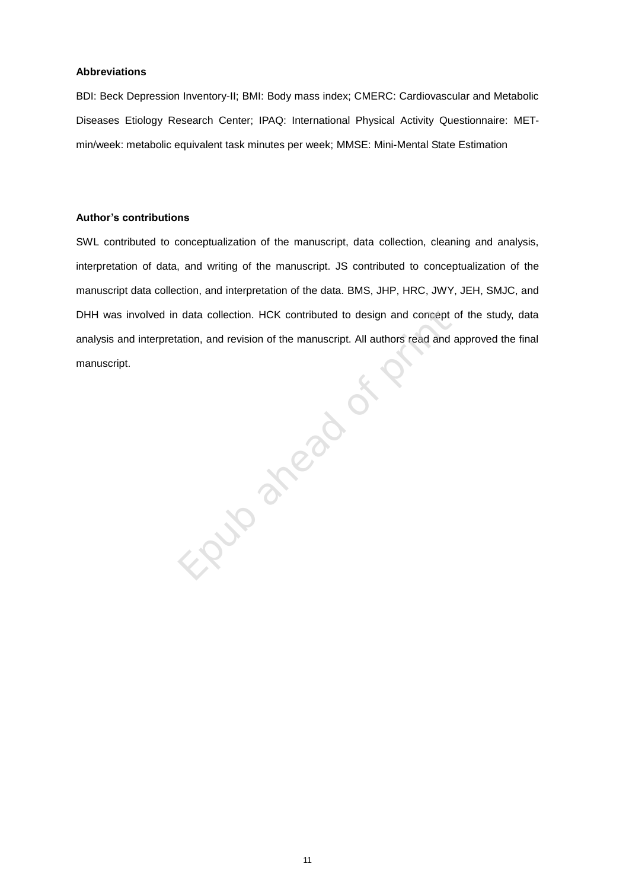#### **Abbreviations**

BDI: Beck Depression Inventory-II; BMI: Body mass index; CMERC: Cardiovascular and Metabolic Diseases Etiology Research Center; IPAQ: International Physical Activity Questionnaire: METmin/week: metabolic equivalent task minutes per week; MMSE: Mini-Mental State Estimation

# **Author's contributions**

SWL contributed to conceptualization of the manuscript, data collection, cleaning and analysis, interpretation of data, and writing of the manuscript. JS contributed to conceptualization of the manuscript data collection, and interpretation of the data. BMS, JHP, HRC, JWY, JEH, SMJC, and DHH was involved in data collection. HCK contributed to design and concept of the study, data analysis and interpretation, and revision of the manuscript. All authors read and approved the final manuscript. Epublished of Prints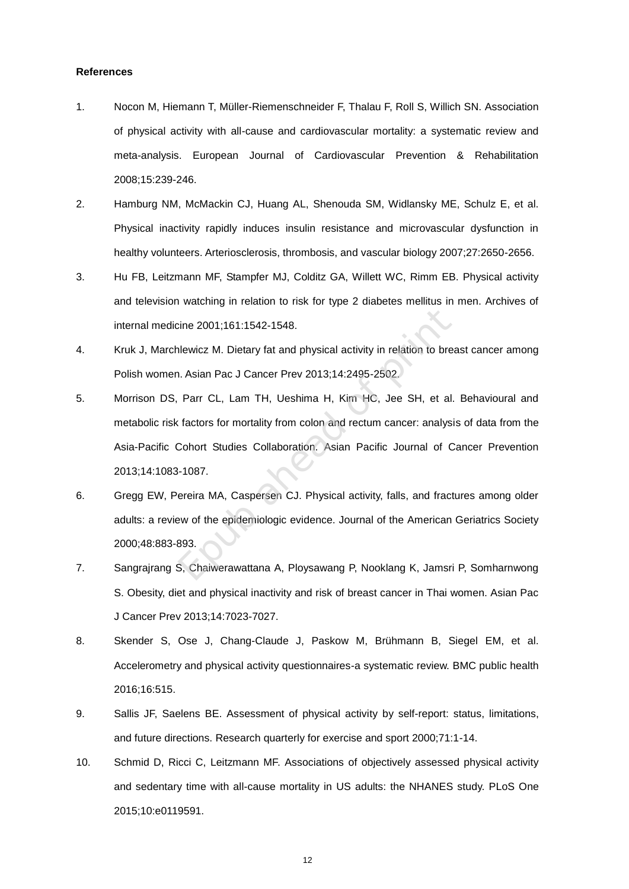#### **References**

- 1. Nocon M, Hiemann T, Müller-Riemenschneider F, Thalau F, Roll S, Willich SN. Association of physical activity with all-cause and cardiovascular mortality: a systematic review and meta-analysis. European Journal of Cardiovascular Prevention & Rehabilitation 2008;15:239-246.
- 2. Hamburg NM, McMackin CJ, Huang AL, Shenouda SM, Widlansky ME, Schulz E, et al. Physical inactivity rapidly induces insulin resistance and microvascular dysfunction in healthy volunteers. Arteriosclerosis, thrombosis, and vascular biology 2007;27:2650-2656.
- 3. Hu FB, Leitzmann MF, Stampfer MJ, Colditz GA, Willett WC, Rimm EB. Physical activity and television watching in relation to risk for type 2 diabetes mellitus in men. Archives of internal medicine 2001;161:1542-1548.
- 4. Kruk J, Marchlewicz M. Dietary fat and physical activity in relation to breast cancer among Polish women. Asian Pac J Cancer Prev 2013;14:2495-2502.
- 5. Morrison DS, Parr CL, Lam TH, Ueshima H, Kim HC, Jee SH, et al. Behavioural and metabolic risk factors for mortality from colon and rectum cancer: analysis of data from the Asia-Pacific Cohort Studies Collaboration. Asian Pacific Journal of Cancer Prevention 2013;14:1083-1087. cine 2001;161:1542-1548.<br>
Ilewicz M. Dietary fat and physical activity in relation to bre<br>
I. Asian Pac J Cancer Prev 2013;14:2495-2502.<br>
Parr CL, Lam TH, Ueshima H, Kim HC, Jee SH, et al<br>
t factors for mortality from colo
- 6. Gregg EW, Pereira MA, Caspersen CJ. Physical activity, falls, and fractures among older adults: a review of the epidemiologic evidence. Journal of the American Geriatrics Society 2000;48:883-893.
- 7. Sangrajrang S, Chaiwerawattana A, Ploysawang P, Nooklang K, Jamsri P, Somharnwong S. Obesity, diet and physical inactivity and risk of breast cancer in Thai women. Asian Pac J Cancer Prev 2013;14:7023-7027.
- 8. Skender S, Ose J, Chang-Claude J, Paskow M, Brühmann B, Siegel EM, et al. Accelerometry and physical activity questionnaires-a systematic review. BMC public health 2016;16:515.
- 9. Sallis JF, Saelens BE. Assessment of physical activity by self-report: status, limitations, and future directions. Research quarterly for exercise and sport 2000;71:1-14.
- 10. Schmid D, Ricci C, Leitzmann MF. Associations of objectively assessed physical activity and sedentary time with all-cause mortality in US adults: the NHANES study. PLoS One 2015;10:e0119591.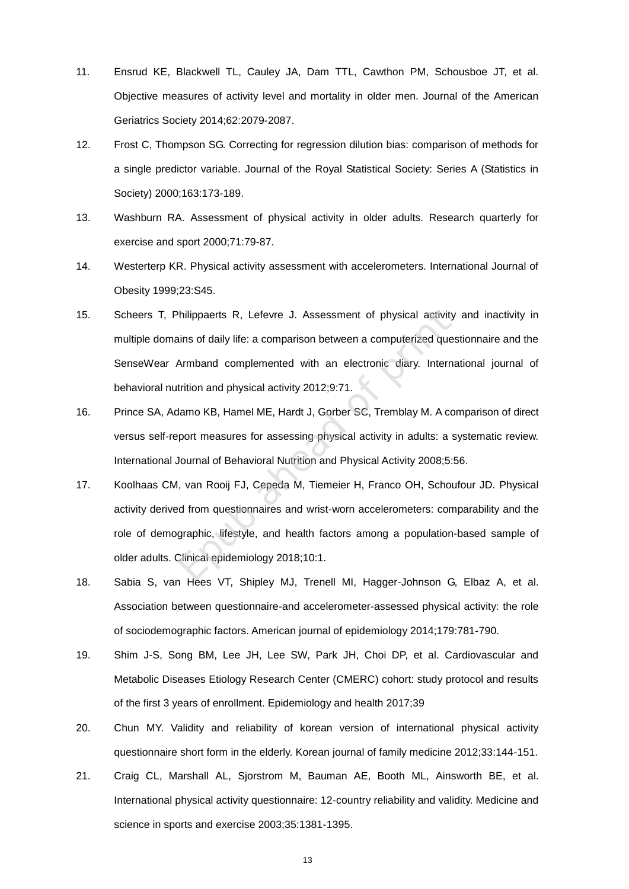- 11. Ensrud KE, Blackwell TL, Cauley JA, Dam TTL, Cawthon PM, Schousboe JT, et al. Objective measures of activity level and mortality in older men. Journal of the American Geriatrics Society 2014;62:2079-2087.
- 12. Frost C, Thompson SG. Correcting for regression dilution bias: comparison of methods for a single predictor variable. Journal of the Royal Statistical Society: Series A (Statistics in Society) 2000;163:173-189.
- 13. Washburn RA. Assessment of physical activity in older adults. Research quarterly for exercise and sport 2000;71:79-87.
- 14. Westerterp KR. Physical activity assessment with accelerometers. International Journal of Obesity 1999;23:S45.
- 15. Scheers T, Philippaerts R, Lefevre J. Assessment of physical activity and inactivity in multiple domains of daily life: a comparison between a computerized questionnaire and the SenseWear Armband complemented with an electronic diary. International journal of behavioral nutrition and physical activity 2012;9:71. Philippaerts R, Lefevre J. Assessment of physical activity<br>
ins of daily life: a comparison between a computerized que<br>
Armband complemented with an electronic diary. Interr<br>
trition and physical activity 2012;9:71.<br>
Idamo
- 16. Prince SA, Adamo KB, Hamel ME, Hardt J, Gorber SC, Tremblay M. A comparison of direct versus self-report measures for assessing physical activity in adults: a systematic review. International Journal of Behavioral Nutrition and Physical Activity 2008;5:56.
- 17. Koolhaas CM, van Rooij FJ, Cepeda M, Tiemeier H, Franco OH, Schoufour JD. Physical activity derived from questionnaires and wrist-worn accelerometers: comparability and the role of demographic, lifestyle, and health factors among a population-based sample of older adults. Clinical epidemiology 2018;10:1.
- 18. Sabia S, van Hees VT, Shipley MJ, Trenell MI, Hagger-Johnson G, Elbaz A, et al. Association between questionnaire-and accelerometer-assessed physical activity: the role of sociodemographic factors. American journal of epidemiology 2014;179:781-790.
- 19. Shim J-S, Song BM, Lee JH, Lee SW, Park JH, Choi DP, et al. Cardiovascular and Metabolic Diseases Etiology Research Center (CMERC) cohort: study protocol and results of the first 3 years of enrollment. Epidemiology and health 2017;39
- 20. Chun MY. Validity and reliability of korean version of international physical activity questionnaire short form in the elderly. Korean journal of family medicine 2012;33:144-151.
- 21. Craig CL, Marshall AL, Sjorstrom M, Bauman AE, Booth ML, Ainsworth BE, et al. International physical activity questionnaire: 12-country reliability and validity. Medicine and science in sports and exercise 2003;35:1381-1395.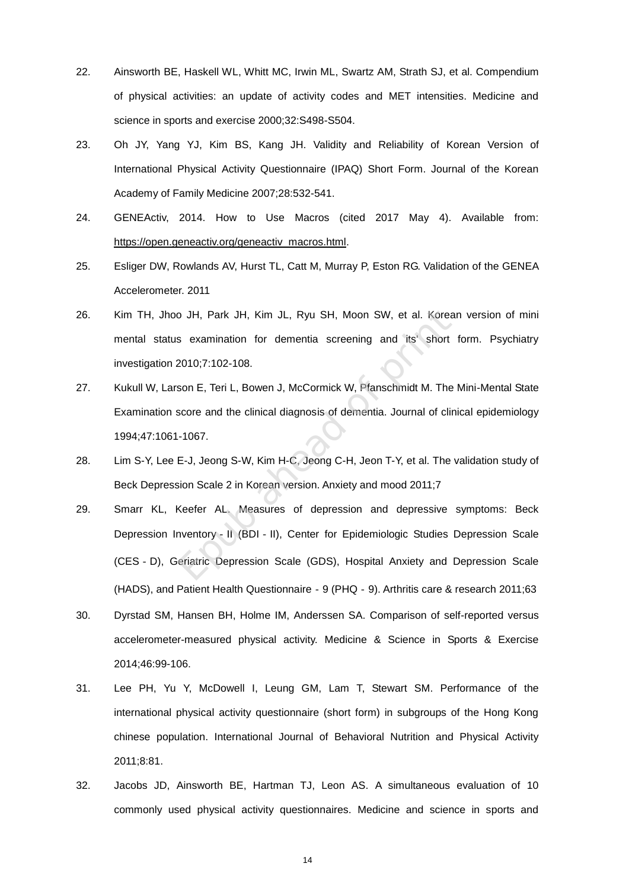- 22. Ainsworth BE, Haskell WL, Whitt MC, Irwin ML, Swartz AM, Strath SJ, et al. Compendium of physical activities: an update of activity codes and MET intensities. Medicine and science in sports and exercise 2000;32:S498-S504.
- 23. Oh JY, Yang YJ, Kim BS, Kang JH. Validity and Reliability of Korean Version of International Physical Activity Questionnaire (IPAQ) Short Form. Journal of the Korean Academy of Family Medicine 2007;28:532-541.
- 24. GENEActiv, 2014. How to Use Macros (cited 2017 May 4). Available from: [https://open.geneactiv.org/geneactiv\\_macros.html.](https://open.geneactiv.org/geneactiv_macros.html)
- 25. Esliger DW, Rowlands AV, Hurst TL, Catt M, Murray P, Eston RG. Validation of the GENEA Accelerometer. 2011
- 26. Kim TH, Jhoo JH, Park JH, Kim JL, Ryu SH, Moon SW, et al. Korean version of mini mental status examination for dementia screening and its' short form. Psychiatry investigation 2010;7:102-108.
- 27. Kukull W, Larson E, Teri L, Bowen J, McCormick W, Pfanschmidt M. The Mini-Mental State Examination score and the clinical diagnosis of dementia. Journal of clinical epidemiology 1994;47:1061-1067.
- 28. Lim S-Y, Lee E-J, Jeong S-W, Kim H-C, Jeong C-H, Jeon T-Y, et al. The validation study of Beck Depression Scale 2 in Korean version. Anxiety and mood 2011;7
- 29. Smarr KL, Keefer AL. Measures of depression and depressive symptoms: Beck Depression Inventory‐II (BDI‐II), Center for Epidemiologic Studies Depression Scale (CES‐D), Geriatric Depression Scale (GDS), Hospital Anxiety and Depression Scale (HADS), and Patient Health Questionnaire‐9 (PHQ‐9). Arthritis care & research 2011;63 o JH, Park JH, Kim JL, Ryu SH, Moon SW, et al. Kores<br>
s examination for dementia screening and its' short<br>
2010;7:102-108.<br>
son E, Teri L, Bowen J, McCormick W, Pfanschmidt M. The<br>
score and the clinical diagnosis of demen
- 30. Dyrstad SM, Hansen BH, Holme IM, Anderssen SA. Comparison of self-reported versus accelerometer-measured physical activity. Medicine & Science in Sports & Exercise 2014;46:99-106.
- 31. Lee PH, Yu Y, McDowell I, Leung GM, Lam T, Stewart SM. Performance of the international physical activity questionnaire (short form) in subgroups of the Hong Kong chinese population. International Journal of Behavioral Nutrition and Physical Activity 2011;8:81.
- 32. Jacobs JD, Ainsworth BE, Hartman TJ, Leon AS. A simultaneous evaluation of 10 commonly used physical activity questionnaires. Medicine and science in sports and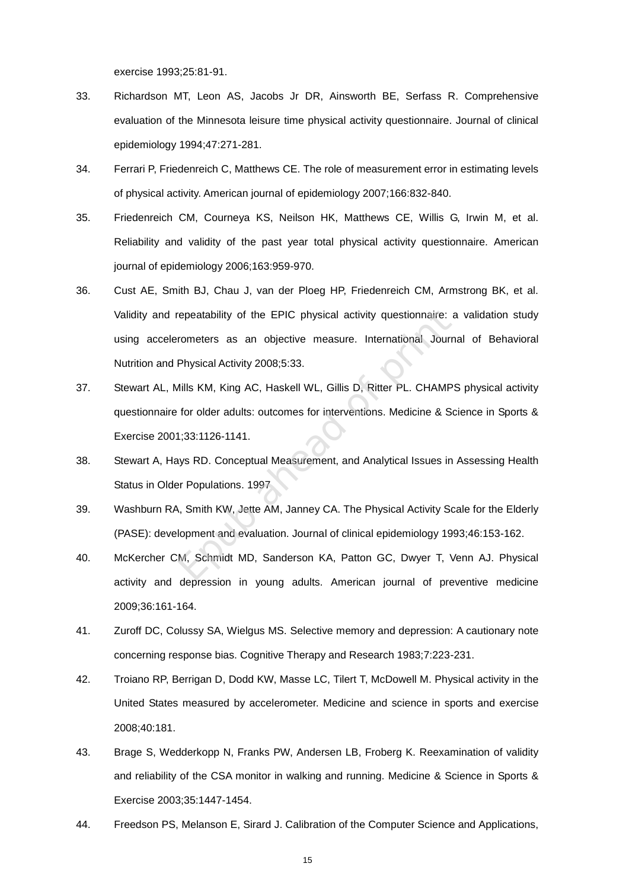exercise 1993;25:81-91.

- 33. Richardson MT, Leon AS, Jacobs Jr DR, Ainsworth BE, Serfass R. Comprehensive evaluation of the Minnesota leisure time physical activity questionnaire. Journal of clinical epidemiology 1994;47:271-281.
- 34. Ferrari P, Friedenreich C, Matthews CE. The role of measurement error in estimating levels of physical activity. American journal of epidemiology 2007;166:832-840.
- 35. Friedenreich CM, Courneya KS, Neilson HK, Matthews CE, Willis G, Irwin M, et al. Reliability and validity of the past year total physical activity questionnaire. American journal of epidemiology 2006;163:959-970.
- 36. Cust AE, Smith BJ, Chau J, van der Ploeg HP, Friedenreich CM, Armstrong BK, et al. Validity and repeatability of the EPIC physical activity questionnaire: a validation study using accelerometers as an objective measure. International Journal of Behavioral Nutrition and Physical Activity 2008;5:33. repeatability of the EPIC physical activity questionnaire:<br>
rometers as an objective measure. International Jour<br>
Physical Activity 2008;5:33.<br>
Iillis KM, King AC, Haskell WL, Gillis D, Ritter PL. CHAMF<br>
for older adults:
- 37. Stewart AL, Mills KM, King AC, Haskell WL, Gillis D, Ritter PL. CHAMPS physical activity questionnaire for older adults: outcomes for interventions. Medicine & Science in Sports & Exercise 2001;33:1126-1141.
- 38. Stewart A, Hays RD. Conceptual Measurement, and Analytical Issues in Assessing Health Status in Older Populations. 1997
- 39. Washburn RA, Smith KW, Jette AM, Janney CA. The Physical Activity Scale for the Elderly (PASE): development and evaluation. Journal of clinical epidemiology 1993;46:153-162.
- 40. McKercher CM, Schmidt MD, Sanderson KA, Patton GC, Dwyer T, Venn AJ. Physical activity and depression in young adults. American journal of preventive medicine 2009;36:161-164.
- 41. Zuroff DC, Colussy SA, Wielgus MS. Selective memory and depression: A cautionary note concerning response bias. Cognitive Therapy and Research 1983;7:223-231.
- 42. Troiano RP, Berrigan D, Dodd KW, Masse LC, Tilert T, McDowell M. Physical activity in the United States measured by accelerometer. Medicine and science in sports and exercise 2008;40:181.
- 43. Brage S, Wedderkopp N, Franks PW, Andersen LB, Froberg K. Reexamination of validity and reliability of the CSA monitor in walking and running. Medicine & Science in Sports & Exercise 2003;35:1447-1454.
- 44. Freedson PS, Melanson E, Sirard J. Calibration of the Computer Science and Applications,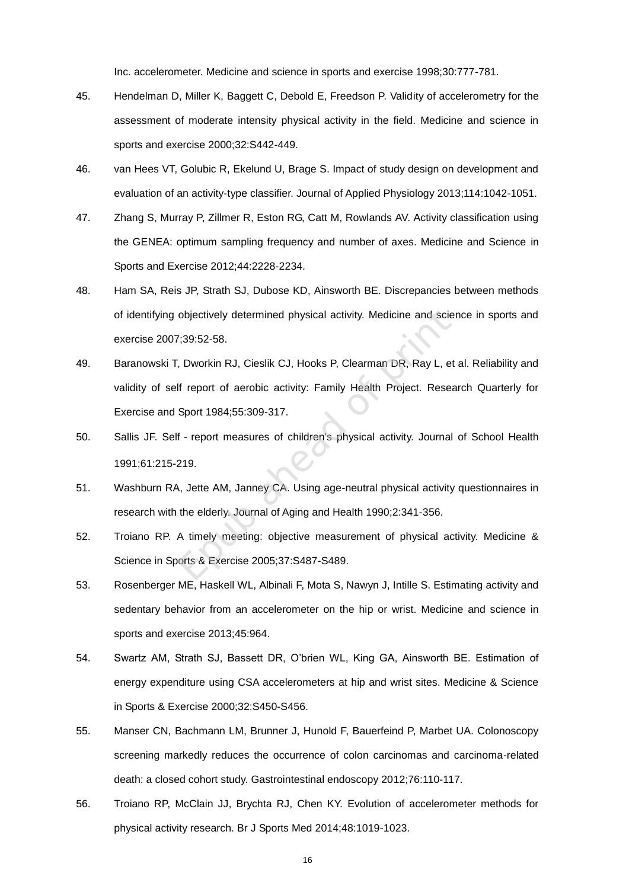Inc. accelerometer. Medicine and science in sports and exercise 1998;30:777-781.

- 45. Hendelman D, Miller K, Baggett C, Debold E, Freedson P. Validity of accelerometry for the assessment of moderate intensity physical activity in the field. Medicine and science in sports and exercise 2000;32:S442-449.
- 46. van Hees VT, Golubic R, Ekelund U, Brage S. Impact of study design on development and evaluation of an activity-type classifier. Journal of Applied Physiology 2013;114:1042-1051.
- 47. Zhang S, Murray P, Zillmer R, Eston RG, Catt M, Rowlands AV. Activity classification using the GENEA: optimum sampling frequency and number of axes. Medicine and Science in Sports and Exercise 2012;44:2228-2234.
- 48. Ham SA, Reis JP, Strath SJ, Dubose KD, Ainsworth BE. Discrepancies between methods of identifying objectively determined physical activity. Medicine and science in sports and exercise 2007;39:52-58.
- 49. Baranowski T, Dworkin RJ, Cieslik CJ, Hooks P, Clearman DR, Ray L, et al. Reliability and validity of self report of aerobic activity: Family Health Project. Research Quarterly for Exercise and Sport 1984;55:309-317. objectively determined physical activity. Medicine and scite<br>
7;39:52-58.<br>
7:39:52-58.<br>
7: Dworkin RJ, Cieslik CJ, Hooks P, Clearman DR, Ray L, e<br>
If report of aerobic activity: Family Health Project. Rese<br>
Sport 1984;55:3
- 50. Sallis JF. Self report measures of children's physical activity. Journal of School Health 1991;61:215-219.
- 51. Washburn RA, Jette AM, Janney CA. Using age-neutral physical activity questionnaires in research with the elderly. Journal of Aging and Health 1990;2:341-356.
- 52. Troiano RP. A timely meeting: objective measurement of physical activity. Medicine & Science in Sports & Exercise 2005;37:S487-S489.
- 53. Rosenberger ME, Haskell WL, Albinali F, Mota S, Nawyn J, Intille S. Estimating activity and sedentary behavior from an accelerometer on the hip or wrist. Medicine and science in sports and exercise 2013;45:964.
- 54. Swartz AM, Strath SJ, Bassett DR, O'brien WL, King GA, Ainsworth BE. Estimation of energy expenditure using CSA accelerometers at hip and wrist sites. Medicine & Science in Sports & Exercise 2000;32:S450-S456.
- 55. Manser CN, Bachmann LM, Brunner J, Hunold F, Bauerfeind P, Marbet UA. Colonoscopy screening markedly reduces the occurrence of colon carcinomas and carcinoma-related death: a closed cohort study. Gastrointestinal endoscopy 2012;76:110-117.
- 56. Troiano RP, McClain JJ, Brychta RJ, Chen KY. Evolution of accelerometer methods for physical activity research. Br J Sports Med 2014;48:1019-1023.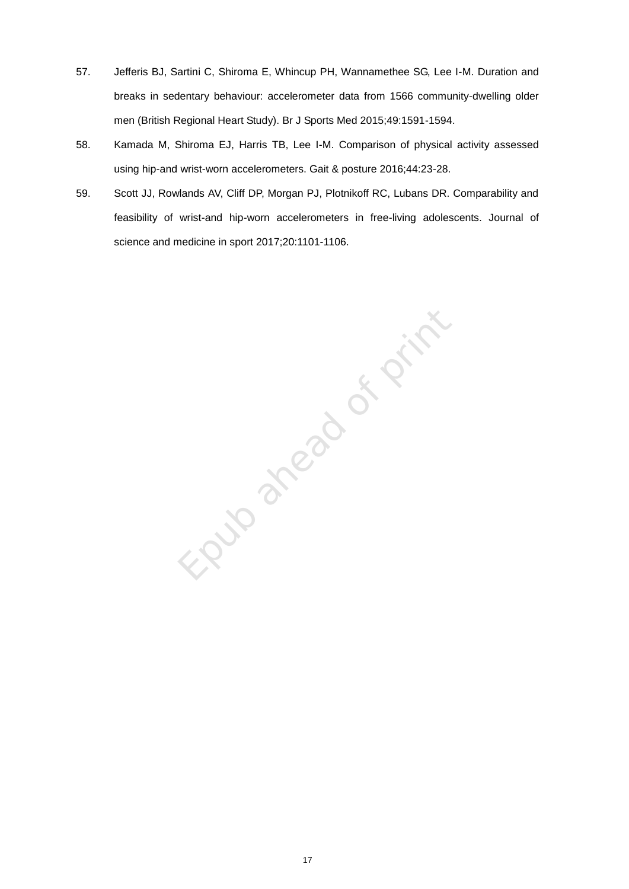- 57. Jefferis BJ, Sartini C, Shiroma E, Whincup PH, Wannamethee SG, Lee I-M. Duration and breaks in sedentary behaviour: accelerometer data from 1566 community-dwelling older men (British Regional Heart Study). Br J Sports Med 2015;49:1591-1594.
- 58. Kamada M, Shiroma EJ, Harris TB, Lee I-M. Comparison of physical activity assessed using hip-and wrist-worn accelerometers. Gait & posture 2016;44:23-28.
- 59. Scott JJ, Rowlands AV, Cliff DP, Morgan PJ, Plotnikoff RC, Lubans DR. Comparability and feasibility of wrist-and hip-worn accelerometers in free-living adolescents. Journal of science and medicine in sport 2017;20:1101-1106.

Elver a frozen de print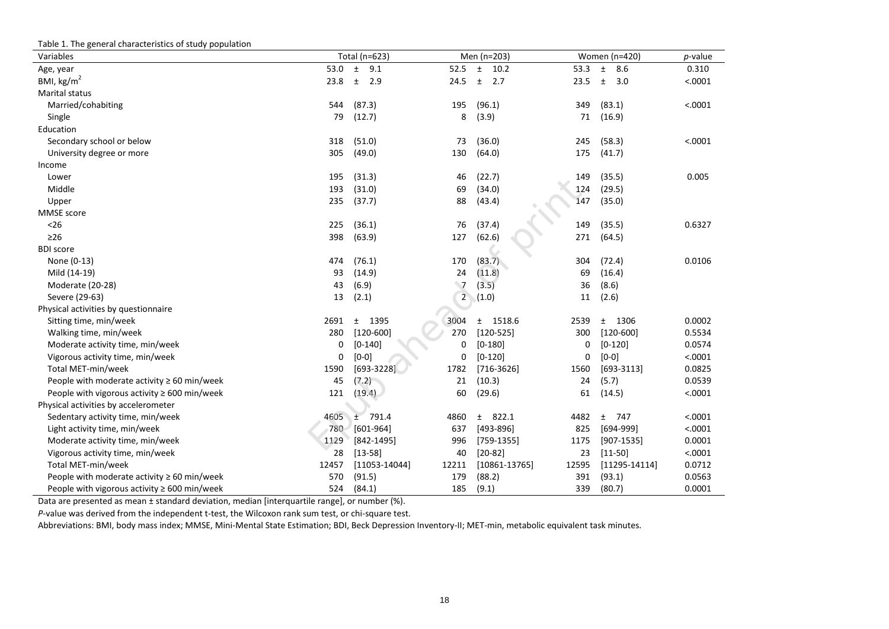| Table 1. The general characteristics of study population |       |                   |                |                   |       |                   |            |
|----------------------------------------------------------|-------|-------------------|----------------|-------------------|-------|-------------------|------------|
| Variables                                                |       | Total (n=623)     |                | Men (n=203)       |       | Women (n=420)     | $p$ -value |
| Age, year                                                | 53.0  | $\pm$<br>9.1      | 52.5           | 10.2<br>$\pm$     | 53.3  | 8.6<br>$\pm$      | 0.310      |
| BMI, $\text{kg/m}^2$                                     | 23.8  | $\pm$<br>2.9      | 24.5           | $\pm$<br>2.7      | 23.5  | $\pm$<br>3.0      | < .0001    |
| Marital status                                           |       |                   |                |                   |       |                   |            |
| Married/cohabiting                                       | 544   | (87.3)            | 195            | (96.1)            | 349   | (83.1)            | < .0001    |
| Single                                                   | 79    | (12.7)            | 8              | (3.9)             | 71    | (16.9)            |            |
| Education                                                |       |                   |                |                   |       |                   |            |
| Secondary school or below                                | 318   | (51.0)            | 73             | (36.0)            | 245   | (58.3)            | < .0001    |
| University degree or more                                | 305   | (49.0)            | 130            | (64.0)            | 175   | (41.7)            |            |
| Income                                                   |       |                   |                |                   |       |                   |            |
| Lower                                                    | 195   | (31.3)            | 46             | (22.7)            | 149   | (35.5)            | 0.005      |
| Middle                                                   | 193   | (31.0)            | 69             | (34.0)            | 124   | (29.5)            |            |
| Upper                                                    | 235   | (37.7)            | 88             | (43.4)            | 147   | (35.0)            |            |
| MMSE score                                               |       |                   |                |                   |       |                   |            |
| < 26                                                     | 225   | (36.1)            | 76             | (37.4)            | 149   | (35.5)            | 0.6327     |
| $\geq$ 26                                                | 398   | (63.9)            | 127            | (62.6)            | 271   | (64.5)            |            |
| <b>BDI</b> score                                         |       |                   |                |                   |       |                   |            |
| None (0-13)                                              | 474   | (76.1)            | 170            | (83.7)            | 304   | (72.4)            | 0.0106     |
| Mild (14-19)                                             | 93    | (14.9)            | 24             | (11.8)            | 69    | (16.4)            |            |
| Moderate (20-28)                                         | 43    | (6.9)             | $\overline{7}$ | (3.5)             | 36    | (8.6)             |            |
| Severe (29-63)                                           | 13    | (2.1)             | $2^{\circ}$    | (1.0)             | 11    | (2.6)             |            |
| Physical activities by questionnaire                     |       |                   |                |                   |       |                   |            |
| Sitting time, min/week                                   | 2691  | 1395<br>$\pm$     | 3004           | 1518.6<br>$\pm$   | 2539  | 1306<br>$\pm$     | 0.0002     |
| Walking time, min/week                                   | 280   | $[120 - 600]$     | 270            | $[120 - 525]$     | 300   | $[120-600]$       | 0.5534     |
| Moderate activity time, min/week                         | 0     | $[0-140]$         | 0              | $[0-180]$         | 0     | $[0-120]$         | 0.0574     |
| Vigorous activity time, min/week                         | 0     | $[0-0]$           | 0              | $[0-120]$         | 0     | $[0-0]$           | < .0001    |
| Total MET-min/week                                       | 1590  | $[693-3228]$      | 1782           | $[716-3626]$      | 1560  | $[693-3113]$      | 0.0825     |
| People with moderate activity $\geq 60$ min/week         | 45    | (7.2)             | 21             | (10.3)            | 24    | (5.7)             | 0.0539     |
| People with vigorous activity $\geq 600$ min/week        | 121   | (19.4)            | 60             | (29.6)            | 61    | (14.5)            | < .0001    |
| Physical activities by accelerometer                     |       |                   |                |                   |       |                   |            |
| Sedentary activity time, min/week                        | 4605  | 791.4<br>Ŧ        | 4860           | 822.1<br>$\pm$    | 4482  | 747<br>$\pm$      | < .0001    |
| Light activity time, min/week                            | 780   | $[601-964]$       | 637            | $[493 - 896]$     | 825   | $[694-999]$       | < .0001    |
| Moderate activity time, min/week                         | 1129  | $[842 - 1495]$    | 996            | $[759-1355]$      | 1175  | $[907-1535]$      | 0.0001     |
| Vigorous activity time, min/week                         | 28    | $[13 - 58]$       | 40             | $[20-82]$         | 23    | $[11 - 50]$       | < .0001    |
| Total MET-min/week                                       | 12457 | $[11053 - 14044]$ | 12211          | $[10861 - 13765]$ | 12595 | $[11295 - 14114]$ | 0.0712     |
| People with moderate activity $\geq 60$ min/week         | 570   | (91.5)            | 179            | (88.2)            | 391   | (93.1)            | 0.0563     |
| People with vigorous activity $\geq 600$ min/week        | 524   | (84.1)            | 185            | (9.1)             | 339   | (80.7)            | 0.0001     |

Data are presented as mean ± standard deviation, median [interquartile range], or number (%).

*P*-value was derived from the independent t-test, the Wilcoxon rank sum test, or chi-square test.

Abbreviations: BMI, body mass index; MMSE, Mini-Mental State Estimation; BDI, Beck Depression Inventory-II; MET-min, metabolic equivalent task minutes.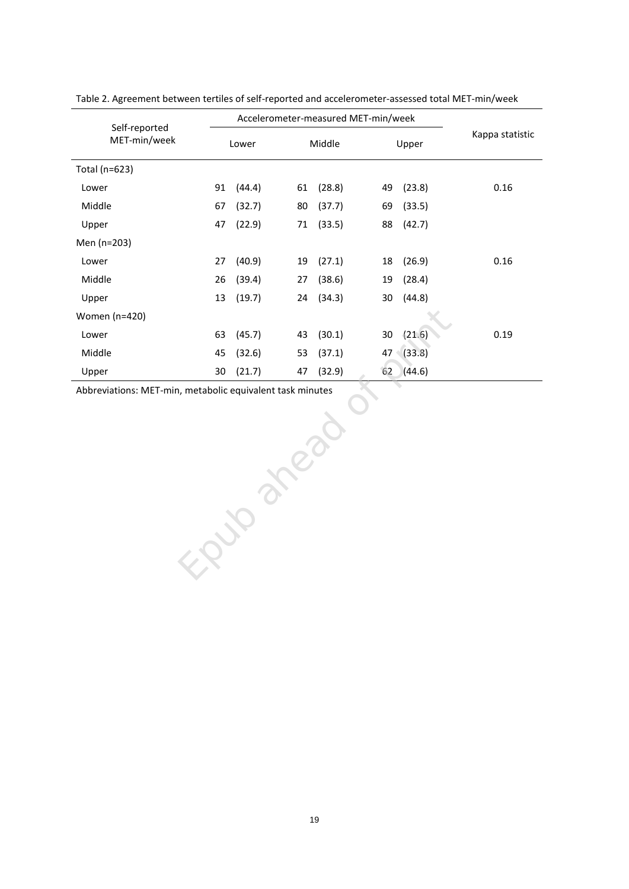|                               |       |        | Accelerometer-measured MET-min/week |        |              |                 |  |
|-------------------------------|-------|--------|-------------------------------------|--------|--------------|-----------------|--|
| Self-reported<br>MET-min/week | Lower |        |                                     | Middle | Upper        | Kappa statistic |  |
| Total (n=623)                 |       |        |                                     |        |              |                 |  |
| Lower                         | 91    | (44.4) | 61                                  | (28.8) | (23.8)<br>49 | 0.16            |  |
| Middle                        | 67    | (32.7) | 80                                  | (37.7) | (33.5)<br>69 |                 |  |
| Upper                         | 47    | (22.9) | 71                                  | (33.5) | 88<br>(42.7) |                 |  |
| Men (n=203)                   |       |        |                                     |        |              |                 |  |
| Lower                         | 27    | (40.9) | 19                                  | (27.1) | (26.9)<br>18 | 0.16            |  |
| Middle                        | 26    | (39.4) | 27                                  | (38.6) | (28.4)<br>19 |                 |  |
| Upper                         | 13    | (19.7) | 24                                  | (34.3) | (44.8)<br>30 |                 |  |
| Women (n=420)                 |       |        |                                     |        |              |                 |  |
| Lower                         | 63    | (45.7) | 43                                  | (30.1) | (21.6)<br>30 | 0.19            |  |
| Middle                        | 45    | (32.6) | 53                                  | (37.1) | (33.8)<br>47 |                 |  |
| Upper                         | 30    | (21.7) | 47                                  | (32.9) | 62<br>(44.6) |                 |  |

Table 2. Agreement between tertiles of self-reported and accelerometer-assessed total MET-min/week

Abbreviations: MET-min, metabolic equivalent task minutes Epide and printed of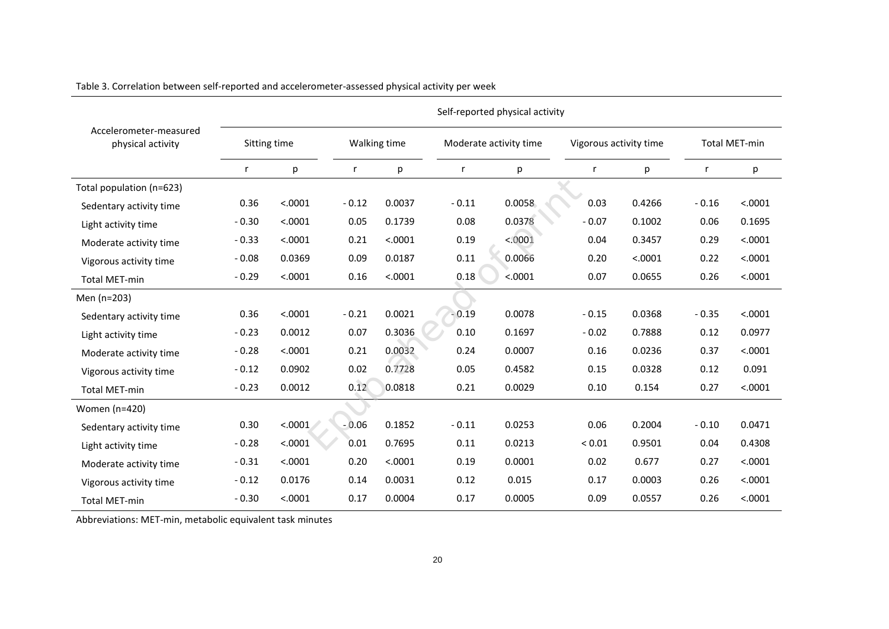|                                             |              | Self-reported physical activity |         |              |                        |         |                        |         |                      |         |  |
|---------------------------------------------|--------------|---------------------------------|---------|--------------|------------------------|---------|------------------------|---------|----------------------|---------|--|
| Accelerometer-measured<br>physical activity | Sitting time |                                 |         | Walking time | Moderate activity time |         | Vigorous activity time |         | <b>Total MET-min</b> |         |  |
|                                             | r            | р                               | r       | p            | r                      | р       | r                      | p       | r                    | p       |  |
| Total population (n=623)                    |              |                                 |         |              |                        |         |                        |         |                      |         |  |
| Sedentary activity time                     | 0.36         | < .0001                         | $-0.12$ | 0.0037       | $-0.11$                | 0.0058  | 0.03                   | 0.4266  | $-0.16$              | < .0001 |  |
| Light activity time                         | $-0.30$      | < .0001                         | 0.05    | 0.1739       | 0.08                   | 0.0378  | $-0.07$                | 0.1002  | 0.06                 | 0.1695  |  |
| Moderate activity time                      | $-0.33$      | < .0001                         | 0.21    | < .0001      | 0.19                   | < 0001  | 0.04                   | 0.3457  | 0.29                 | < .0001 |  |
| Vigorous activity time                      | $-0.08$      | 0.0369                          | 0.09    | 0.0187       | 0.11                   | 0.0066  | 0.20                   | < .0001 | 0.22                 | < .0001 |  |
| <b>Total MET-min</b>                        | $-0.29$      | < .0001                         | 0.16    | < .0001      | 0.18                   | < .0001 | 0.07                   | 0.0655  | 0.26                 | < .0001 |  |
| Men (n=203)                                 |              |                                 |         |              |                        |         |                        |         |                      |         |  |
| Sedentary activity time                     | 0.36         | < .0001                         | $-0.21$ | 0.0021       | $-0.19$                | 0.0078  | $-0.15$                | 0.0368  | $-0.35$              | < .0001 |  |
| Light activity time                         | $-0.23$      | 0.0012                          | 0.07    | 0.3036       | 0.10                   | 0.1697  | $-0.02$                | 0.7888  | 0.12                 | 0.0977  |  |
| Moderate activity time                      | $-0.28$      | < .0001                         | 0.21    | 0.0032       | 0.24                   | 0.0007  | 0.16                   | 0.0236  | 0.37                 | < .0001 |  |
| Vigorous activity time                      | $-0.12$      | 0.0902                          | 0.02    | 0.7728       | 0.05                   | 0.4582  | 0.15                   | 0.0328  | 0.12                 | 0.091   |  |
| <b>Total MET-min</b>                        | $-0.23$      | 0.0012                          | 0.12    | 0.0818       | 0.21                   | 0.0029  | 0.10                   | 0.154   | 0.27                 | < .0001 |  |
| Women (n=420)                               |              |                                 |         |              |                        |         |                        |         |                      |         |  |
| Sedentary activity time                     | 0.30         | < .0001                         | $-0.06$ | 0.1852       | $-0.11$                | 0.0253  | 0.06                   | 0.2004  | $-0.10$              | 0.0471  |  |
| Light activity time                         | $-0.28$      | < .0001                         | 0.01    | 0.7695       | 0.11                   | 0.0213  | ${}_{0.01}$            | 0.9501  | 0.04                 | 0.4308  |  |
| Moderate activity time                      | $-0.31$      | < .0001                         | 0.20    | < .0001      | 0.19                   | 0.0001  | 0.02                   | 0.677   | 0.27                 | < .0001 |  |
| Vigorous activity time                      | $-0.12$      | 0.0176                          | 0.14    | 0.0031       | 0.12                   | 0.015   | 0.17                   | 0.0003  | 0.26                 | < .0001 |  |
| <b>Total MET-min</b>                        | $-0.30$      | < .0001                         | 0.17    | 0.0004       | 0.17                   | 0.0005  | 0.09                   | 0.0557  | 0.26                 | < .0001 |  |

Table 3. Correlation between self-reported and accelerometer-assessed physical activity per week

Abbreviations: MET-min, metabolic equivalent task minutes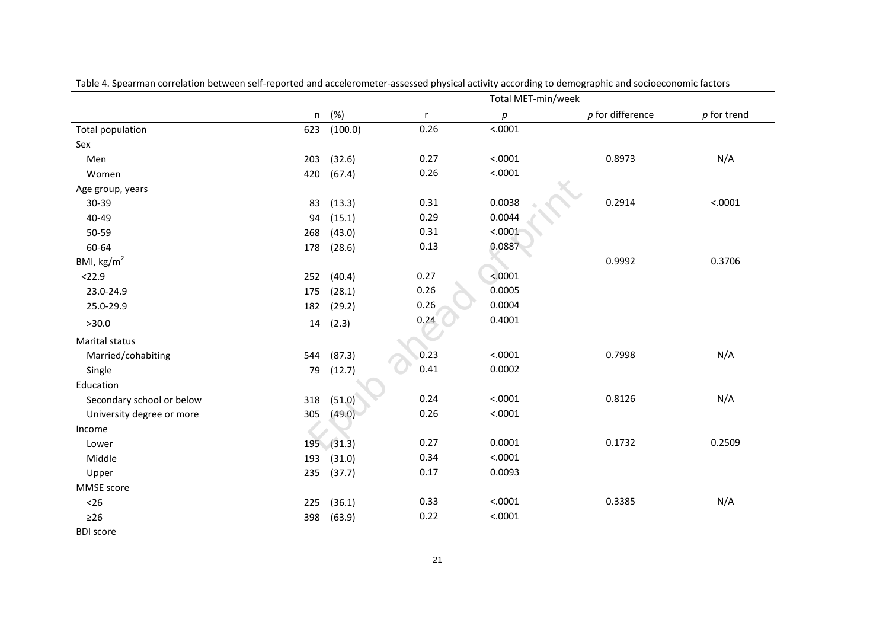|                           |     |           |              | Total MET-min/week |                    |               |
|---------------------------|-----|-----------|--------------|--------------------|--------------------|---------------|
|                           | n   | (%)       | $\mathsf{r}$ | р                  | $p$ for difference | $p$ for trend |
| <b>Total population</b>   | 623 | (100.0)   | 0.26         | < .0001            |                    |               |
| Sex                       |     |           |              |                    |                    |               |
| Men                       | 203 | (32.6)    | 0.27         | < .0001            | 0.8973             | N/A           |
| Women                     | 420 | (67.4)    | 0.26         | < .0001            |                    |               |
| Age group, years          |     |           |              |                    |                    |               |
| 30-39                     | 83  | (13.3)    | 0.31         | 0.0038             | 0.2914             | < .0001       |
| 40-49                     | 94  | (15.1)    | 0.29         | 0.0044             |                    |               |
| 50-59                     | 268 | (43.0)    | 0.31         | < .0001            |                    |               |
| 60-64                     | 178 | (28.6)    | 0.13         | 0.0887             |                    |               |
| BMI, $\text{kg/m}^2$      |     |           |              |                    | 0.9992             | 0.3706        |
| < 22.9                    | 252 | (40.4)    | 0.27         | < 0.0001           |                    |               |
| 23.0-24.9                 | 175 | (28.1)    | 0.26         | 0.0005             |                    |               |
| 25.0-29.9                 | 182 | (29.2)    | 0.26         | 0.0004             |                    |               |
| >30.0                     | 14  | (2.3)     | 0.24         | 0.4001             |                    |               |
| Marital status            |     |           |              |                    |                    |               |
| Married/cohabiting        | 544 | (87.3)    | 0.23         | < .0001            | 0.7998             | N/A           |
| Single                    | 79  | (12.7)    | 0.41         | 0.0002             |                    |               |
| Education                 |     |           |              |                    |                    |               |
| Secondary school or below | 318 | (51.0)    | 0.24         | < .0001            | 0.8126             | N/A           |
| University degree or more | 305 | (49.0)    | 0.26         | < .0001            |                    |               |
| Income                    |     |           |              |                    |                    |               |
| Lower                     |     | 195(31.3) | 0.27         | 0.0001             | 0.1732             | 0.2509        |
| Middle                    | 193 | (31.0)    | 0.34         | < .0001            |                    |               |
| Upper                     | 235 | (37.7)    | 0.17         | 0.0093             |                    |               |
| MMSE score                |     |           |              |                    |                    |               |
| $26$                      | 225 | (36.1)    | 0.33         | < .0001            | 0.3385             | N/A           |
| $\geq$ 26                 | 398 | (63.9)    | 0.22         | < .0001            |                    |               |
| <b>BDI</b> score          |     |           |              |                    |                    |               |

Table 4. Spearman correlation between self-reported and accelerometer-assessed physical activity according to demographic and socioeconomic factors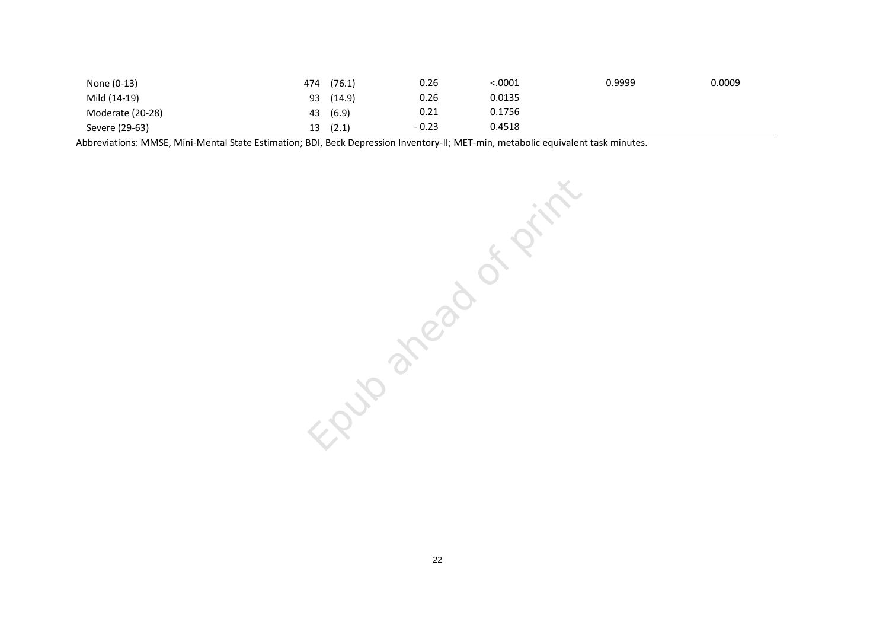| None (0-13)      | (76.1)<br>474 | 0.26    | <.0001 | 0.9999 | 0.0009 |
|------------------|---------------|---------|--------|--------|--------|
| Mild (14-19)     | (14.9)<br>93  | 0.26    | 0.0135 |        |        |
| Moderate (20-28) | (6.9)<br>43   | 0.21    | 0.1756 |        |        |
| Severe (29-63)   | (2.1)<br>13   | $-0.23$ | 0.4518 |        |        |

Abbreviations: MMSE, Mini-Mental State Estimation; BDI, Beck Depression Inventory-II; MET-min, metabolic equivalent task minutes.

Epub area of print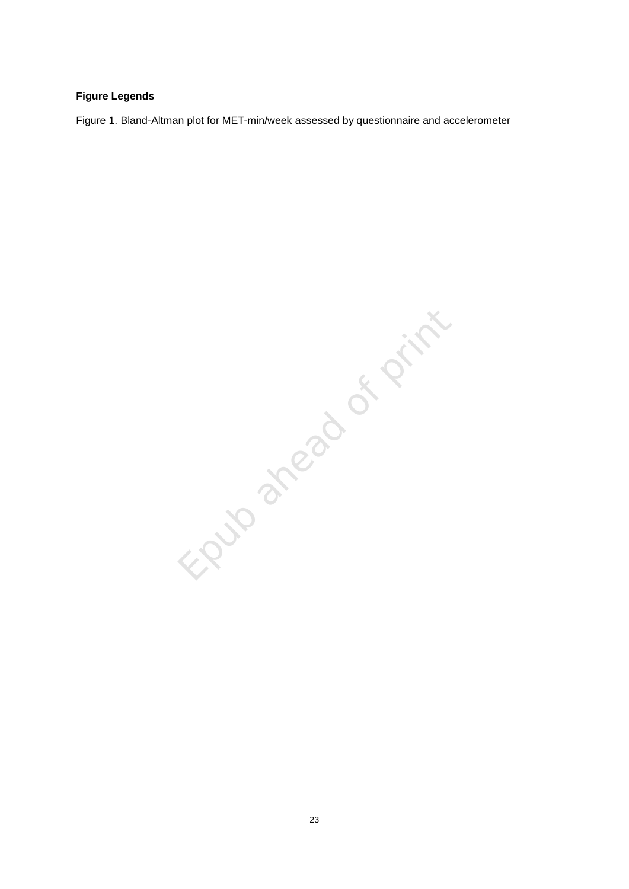# **Figure Legends**

Figure 1. Bland-Altman plot for MET-min/week assessed by questionnaire and accelerometer

Epub ahead of print